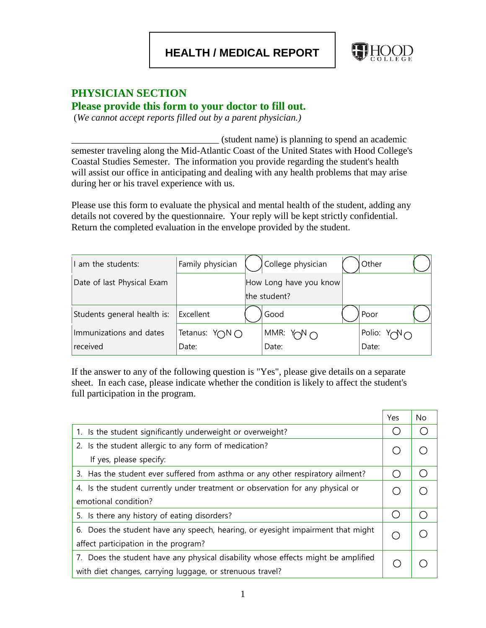**HEALTH / MEDICAL REPORT**



## **PHYSICIAN SECTION Please provide this form to your doctor to fill out.**

(*We cannot accept reports filled out by a parent physician.)*

\_\_\_\_\_\_\_\_\_\_\_\_\_\_\_\_\_\_\_\_\_\_\_\_\_\_\_\_\_\_\_ (student name) is planning to spend an academic semester traveling along the Mid-Atlantic Coast of the United States with Hood College's Coastal Studies Semester. The information you provide regarding the student's health will assist our office in anticipating and dealing with any health problems that may arise during her or his travel experience with us.

Please use this form to evaluate the physical and mental health of the student, adding any details not covered by the questionnaire. Your reply will be kept strictly confidential. Return the completed evaluation in the envelope provided by the student.

| am the students:            | Family physician | College physician      | Other |                        |
|-----------------------------|------------------|------------------------|-------|------------------------|
| Date of last Physical Exam  |                  | How Long have you know |       |                        |
|                             |                  | the student?           |       |                        |
| Students general health is: | Excellent        | Good                   | Poor  |                        |
| Immunizations and dates     | Tetanus: Y∩N∩    | MMR: $Y\cap Y \cap Y$  |       | Polio: $Y \cap V \cap$ |
| received                    | Date:            | Date:                  | Date: |                        |

If the answer to any of the following question is "Yes", please give details on a separate sheet. In each case, please indicate whether the condition is likely to affect the student's full participation in the program.

|                                                                                   | Yes | No |
|-----------------------------------------------------------------------------------|-----|----|
| 1. Is the student significantly underweight or overweight?                        |     |    |
| 2. Is the student allergic to any form of medication?                             |     |    |
| If yes, please specify:                                                           |     |    |
| 3. Has the student ever suffered from asthma or any other respiratory ailment?    |     |    |
| 4. Is the student currently under treatment or observation for any physical or    |     |    |
| emotional condition?                                                              |     |    |
| 5. Is there any history of eating disorders?                                      |     |    |
| 6. Does the student have any speech, hearing, or eyesight impairment that might   |     |    |
| affect participation in the program?                                              |     |    |
| 7. Does the student have any physical disability whose effects might be amplified |     |    |
| with diet changes, carrying luggage, or strenuous travel?                         |     |    |